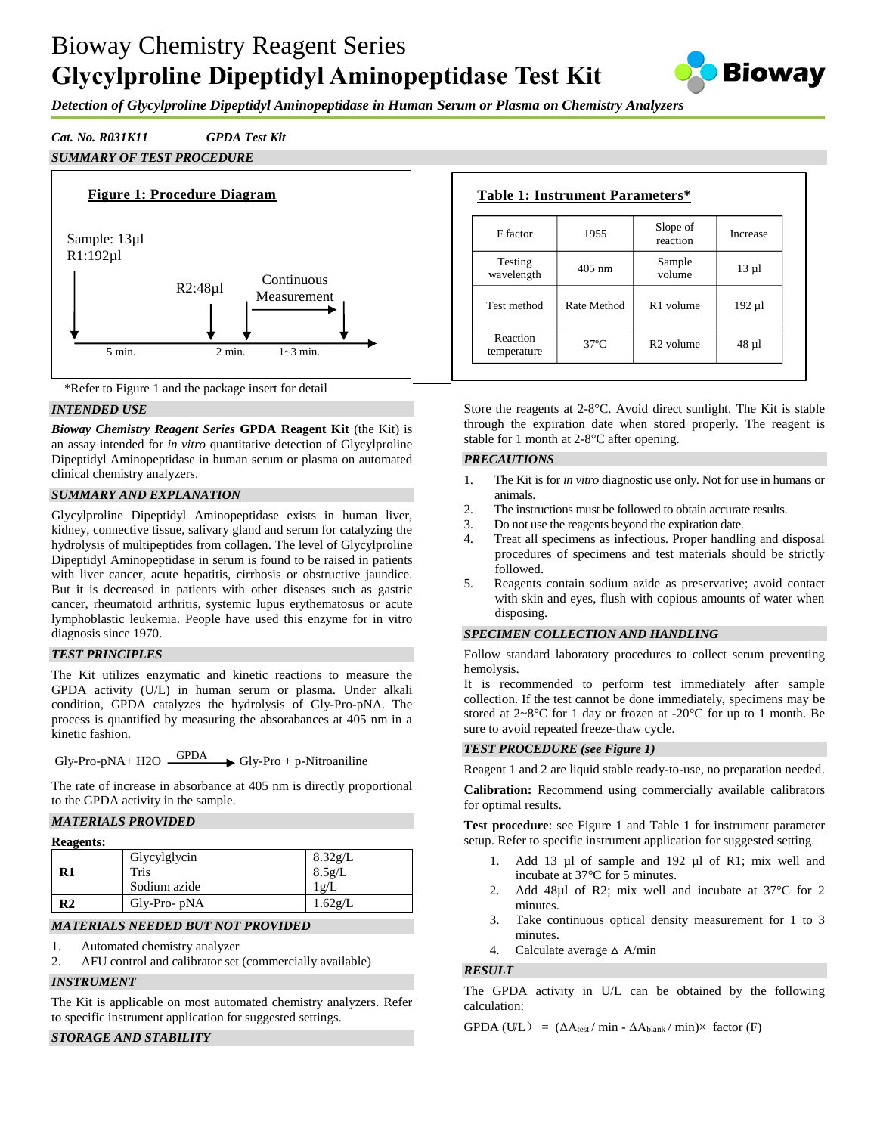# Bioway Chemistry Reagent Series **Glycylproline Dipeptidyl Aminopeptidase Test Kit**



*Detection of Glycylproline Dipeptidyl Aminopeptidase in Human Serum or Plasma on Chemistry Analyzers*

# *Cat. No. R031K11 GPDA Test Kit*

# *SUMMARY OF TEST PROCEDURE*





# *INTENDED USE*

*Bioway Chemistry Reagent Series* **GPDA Reagent Kit** (the Kit) is an assay intended for *in vitro* quantitative detection of Glycylproline Dipeptidyl Aminopeptidase in human serum or plasma on automated clinical chemistry analyzers.

# *SUMMARY AND EXPLANATION*

Glycylproline Dipeptidyl Aminopeptidase exists in human liver, kidney, connective tissue, salivary gland and serum for catalyzing the hydrolysis of multipeptides from collagen. The level of Glycylproline Dipeptidyl Aminopeptidase in serum is found to be raised in patients with liver cancer, acute hepatitis, cirrhosis or obstructive jaundice. But it is decreased in patients with other diseases such as gastric cancer, rheumatoid arthritis, systemic lupus erythematosus or acute lymphoblastic leukemia. People have used this enzyme for in vitro diagnosis since 1970.

#### *TEST PRINCIPLES*

The Kit utilizes enzymatic and kinetic reactions to measure the GPDA activity (U/L) in human serum or plasma. Under alkali condition, GPDA catalyzes the hydrolysis of Gly-Pro-pNA. The process is quantified by measuring the absorabances at 405 nm in a kinetic fashion.

 $Gly-Pro-pNA+ H2O \xrightarrow{GPDA} Gly-Pro + p-Nitroaniline$ 

The rate of increase in absorbance at 405 nm is directly proportional to the GPDA activity in the sample.

# *MATERIALS PROVIDED*

| <b>Reagents:</b> |
|------------------|
|------------------|

| R1 | Glycylglycin<br>Tris<br>Sodium azide | 8.32g/L<br>$\frac{8.5g}{lg}$ |
|----|--------------------------------------|------------------------------|
| R2 | $Gly-Pro-pNA$                        | $1.62$ g/L                   |

# *MATERIALS NEEDED BUT NOT PROVIDED*

- 1. Automated chemistry analyzer
- 2. AFU control and calibrator set (commercially available)

#### *INSTRUMENT*

The Kit is applicable on most automated chemistry analyzers. Refer to specific instrument application for suggested settings.

# *STORAGE AND STABILITY*

| Table 1: Instrument Parameters* |              |                       |            |  |  |
|---------------------------------|--------------|-----------------------|------------|--|--|
| F factor                        | 1955         | Slope of<br>reaction  | Increase   |  |  |
| Testing<br>wavelength           | $405$ nm     | Sample<br>volume      | $13 \mu$ 1 |  |  |
| Test method                     | Rate Method  | R <sub>1</sub> volume | 192 µl     |  |  |
| Reaction<br>temperature         | $37^\circ$ C | $R2$ volume           | $48 \mu$   |  |  |

Store the reagents at 2-8°C. Avoid direct sunlight. The Kit is stable through the expiration date when stored properly. The reagent is stable for 1 month at 2-8°C after opening.

#### *PRECAUTIONS*

- 1. The Kit is for *in vitro* diagnostic use only. Not for use in humans or animals.
- 2. The instructions must be followed to obtain accurate results.
- 3. Do not use the reagents beyond the expiration date.
- 4. Treat all specimens as infectious. Proper handling and disposal procedures of specimens and test materials should be strictly followed.
- 5. Reagents contain sodium azide as preservative; avoid contact with skin and eyes, flush with copious amounts of water when disposing.

# *SPECIMEN COLLECTION AND HANDLING*

Follow standard laboratory procedures to collect serum preventing hemolysis.

It is recommended to perform test immediately after sample collection. If the test cannot be done immediately, specimens may be stored at  $2~8$ °C for 1 day or frozen at -20°C for up to 1 month. Be sure to avoid repeated freeze-thaw cycle.

#### *TEST PROCEDURE (see Figure 1)*

Reagent 1 and 2 are liquid stable ready-to-use, no preparation needed.

**Calibration:** Recommend using commercially available calibrators for optimal results.

**Test procedure**: see Figure 1 and Table 1 for instrument parameter setup. Refer to specific instrument application for suggested setting.

- 1. Add 13 µl of sample and 192 µl of R1; mix well and incubate at 37°C for 5 minutes.
- 2. Add 48µl of R2; mix well and incubate at 37 °C for 2 minutes.
- 3. Take continuous optical density measurement for 1 to 3 minutes.
- 4. Calculate average  $\triangle$  A/min

# *RESULT*

The GPDA activity in U/L can be obtained by the following calculation:

 $GPDA (UL) = (\Delta A_{\text{test}} / \min - \Delta A_{\text{blank}} / \min) \times$  factor (F)